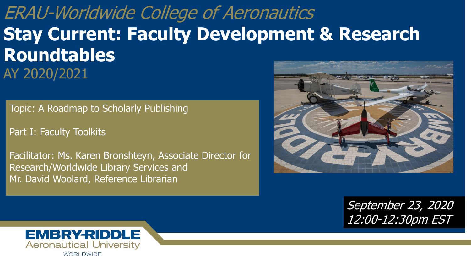ERAU-Worldwide College of Aeronautics **Stay Current: Faculty Development & Research Roundtables**  AY 2020/2021

Topic: A Roadmap to Scholarly Publishing

Part I: Faculty Toolkits

Facilitator: Ms. Karen Bronshteyn, Associate Director for Research/Worldwide Library Services and Mr. David Woolard, Reference Librarian



September 23, 2020 12:00-12:30pm EST

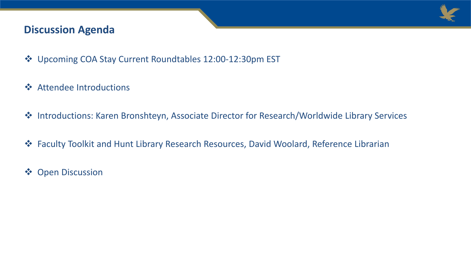

### **Discussion Agenda**

- Upcoming COA Stay Current Roundtables 12:00-12:30pm EST
- **❖** Attendee Introductions
- Introductions: Karen Bronshteyn, Associate Director for Research/Worldwide Library Services
- Faculty Toolkit and Hunt Library Research Resources, David Woolard, Reference Librarian
- **❖** Open Discussion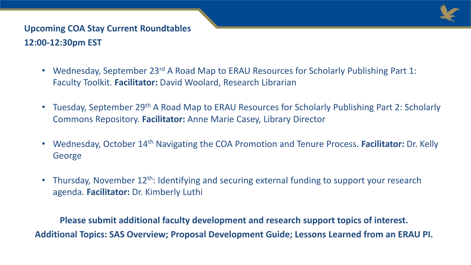

## **Upcoming COA Stay Current Roundtables 12:00-12:30pm EST**

- Wednesday, September 23<sup>rd</sup> A Road Map to ERAU Resources for Scholarly Publishing Part 1: Faculty Toolkit. **Facilitator:** David Woolard, Research Librarian
- Tuesday, September 29<sup>th</sup> A Road Map to ERAU Resources for Scholarly Publishing Part 2: Scholarly Commons Repository. **Facilitator:** Anne Marie Casey, Library Director
- Wednesday, October 14th Navigating the COA Promotion and Tenure Process. **Facilitator:** Dr. Kelly George
- Thursday, November 12<sup>th</sup>: Identifying and securing external funding to support your research agenda. **Facilitator:** Dr. Kimberly Luthi

**Please submit additional faculty development and research support topics of interest. Additional Topics: SAS Overview; Proposal Development Guide; Lessons Learned from an ERAU PI.**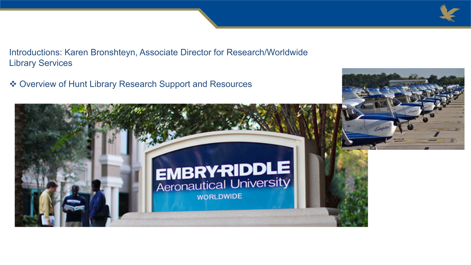

Introductions: Karen Bronshteyn, Associate Director for Research/Worldwide Library Services

Overview of Hunt Library Research Support and Resources

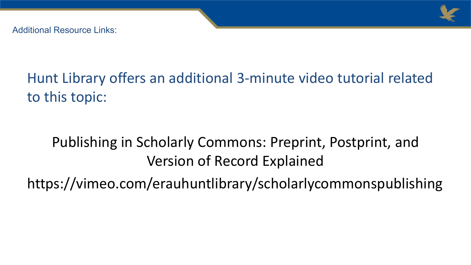

Additional Resource Links:

## Hunt Library offers an additional 3-minute video tutorial related to this topic:

# Publishing in Scholarly Commons: Preprint, Postprint, and Version of Record Explained

https://vimeo.com/erauhuntlibrary/scholarlycommonspublishing